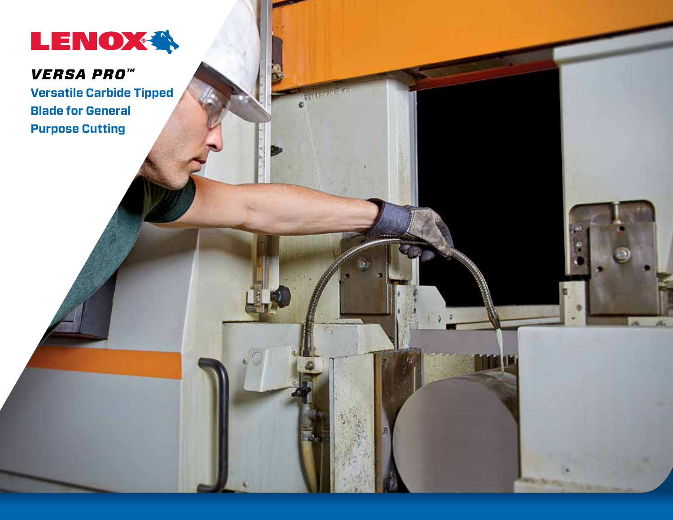

# *VERSA PRO™*

**Versatile Carbide Tipped Blade for General Purpose Cutting**

a.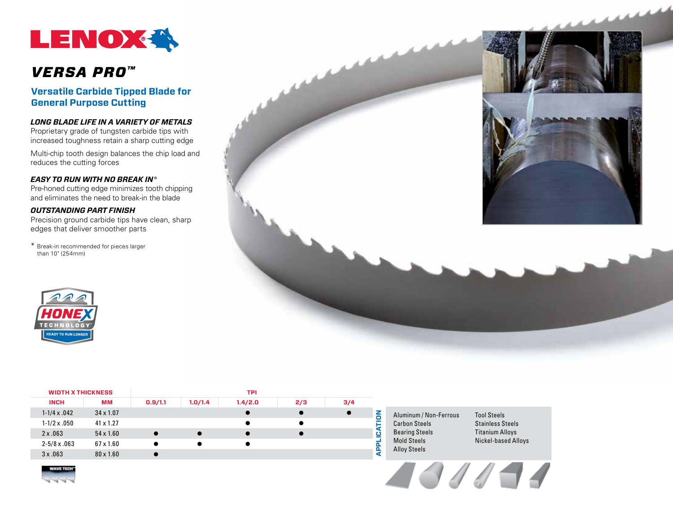

## *VERSA PRO™*

**Versatile Carbide Tipped Blade for General Purpose Cutting**

### *Long Blade Life In A Variety of Metals*

Proprietary grade of tungsten carbide tips with increased toughness retain a sharp cutting edge

Multi-chip tooth design balances the chip load and reduces the cutting forces

#### *Easy to Run With No Break In\**

Pre-honed cutting edge minimizes tooth chipping and eliminates the need to break-in the blade

### *Outstanding Part Finish*

Precision ground carbide tips have clean, sharp edges that deliver smoother parts

\* Break-in recommended for pieces larger than 10" (254mm)





| <b>WIDTH X THICKNESS</b> |                  | <b>TPI</b> |         |         |     |     |  |  |  |
|--------------------------|------------------|------------|---------|---------|-----|-----|--|--|--|
| <b>INCH</b>              | МM               | 0.9/1.1    | 1.0/1.4 | 1.4/2.0 | 2/3 | 3/4 |  |  |  |
| $1-1/4 \times .042$      | $34 \times 1.07$ |            |         |         |     |     |  |  |  |
| $1 - 1/2 \times 0.50$    | $41 \times 1.27$ |            |         |         |     |     |  |  |  |
| $2 \times .063$          | $54 \times 1.60$ |            |         |         |     |     |  |  |  |
| $2 - 5/8 \times .063$    | $67 \times 1.60$ |            |         |         |     |     |  |  |  |
| 3x.063                   | $80 \times 1.60$ |            |         |         |     |     |  |  |  |

Aluminum / Non-Ferrous Carbon Steels Bearing Steels Mold Steels Alloy Steels

Tool Steels Stainless Steels Titanium Alloys Nickel-based Alloys



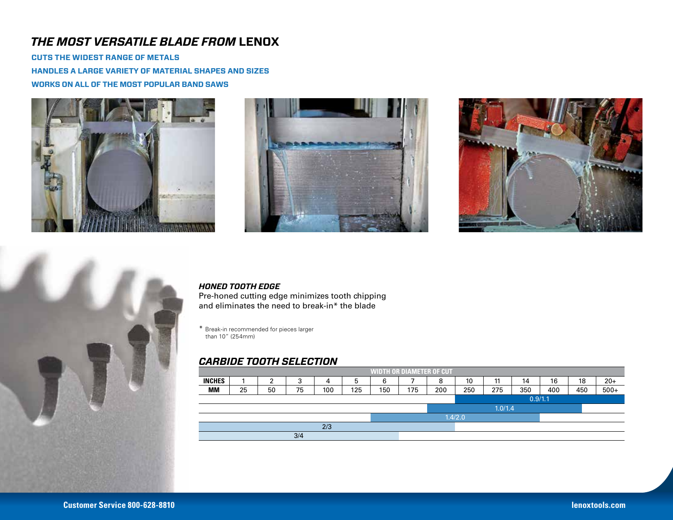## *The Most Versatile Blade from* **LENOX**

**Cuts The Widest Range of Metals Handles a large variety of material shapes and sizes Works on all of the most popular band saws**







### *HONED TOOTH EDGE*

Pre-honed cutting edge minimizes tooth chipping and eliminates the need to break-in\* the blade

\* Break-in recommended for pieces larger than 10" (254mm)

### *CARBIDE TOOTH SELECTION*

| <b>WIDTH OR DIAMETER OF CUT</b> |    |    |        |     |     |     |         |         |     |           |     |     |     |        |
|---------------------------------|----|----|--------|-----|-----|-----|---------|---------|-----|-----------|-----|-----|-----|--------|
| <b>INCHES</b>                   |    |    | ◠<br>ັ | 4   | 5   | 6   |         | 8       | 10  | 11<br>. . | 14  | 16  | 18  | $20+$  |
| MМ                              | 25 | 50 | 75     | 100 | 125 | 150 | 175     | 200     | 250 | 275       | 350 | 400 | 450 | $500+$ |
|                                 |    |    |        |     |     |     |         | 0.9/1.1 |     |           |     |     |     |        |
|                                 |    |    |        |     |     |     | 1.0/1.4 |         |     |           |     |     |     |        |
|                                 |    |    |        |     |     |     | 1.4/2.0 |         |     |           |     |     |     |        |
| 2/3                             |    |    |        |     |     |     |         |         |     |           |     |     |     |        |
| 3/4                             |    |    |        |     |     |     |         |         |     |           |     |     |     |        |